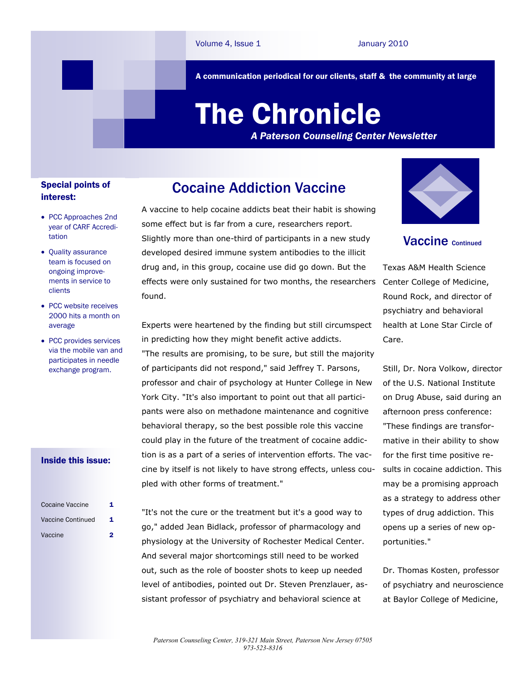A communication periodical for our clients, staff & the community at large

# The Chronicle

*A Paterson Counseling Center Newsletter*

## Special points of interest:

- PCC Approaches 2nd year of CARF Accreditation
- Quality assurance team is focused on ongoing improvements in service to clients
- PCC website receives 2000 hits a month on average
- PCC provides services via the mobile van and participates in needle exchange program.

### Inside this issue:

| <b>Cocaine Vaccine</b> | 1 |
|------------------------|---|
| Vaccine Continued      | 1 |
| Vaccine                | 2 |

A vaccine to help cocaine addicts beat their habit is showing some effect but is far from a cure, researchers report. Slightly more than one-third of participants in a new study developed desired immune system antibodies to the illicit drug and, in this group, cocaine use did go down. But the effects were only sustained for two months, the researchers found.

Cocaine Addiction Vaccine

Experts were heartened by the finding but still circumspect in predicting how they might benefit active addicts. "The results are promising, to be sure, but still the majority of participants did not respond," said Jeffrey T. Parsons, professor and chair of psychology at Hunter College in New York City. "It's also important to point out that all participants were also on methadone maintenance and cognitive behavioral therapy, so the best possible role this vaccine could play in the future of the treatment of cocaine addiction is as a part of a series of intervention efforts. The vaccine by itself is not likely to have strong effects, unless coupled with other forms of treatment."

"It's not the cure or the treatment but it's a good way to go," added Jean Bidlack, professor of pharmacology and physiology at the University of Rochester Medical Center. And several major shortcomings still need to be worked out, such as the role of booster shots to keep up needed level of antibodies, pointed out Dr. Steven Prenzlauer, assistant professor of psychiatry and behavioral science at



**Vaccine Continued** 

Texas A&M Health Science Center College of Medicine, Round Rock, and director of psychiatry and behavioral health at Lone Star Circle of Care.

Still, Dr. Nora Volkow, director of the U.S. National Institute on Drug Abuse, said during an afternoon press conference: "These findings are transformative in their ability to show for the first time positive results in cocaine addiction. This may be a promising approach as a strategy to address other types of drug addiction. This opens up a series of new opportunities."

Dr. Thomas Kosten, professor of psychiatry and neuroscience at Baylor College of Medicine,